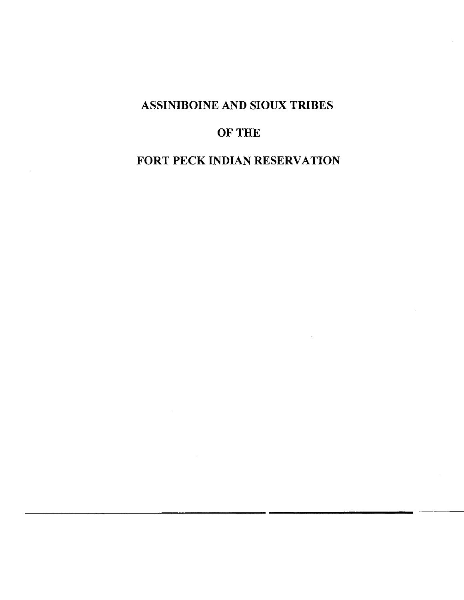# **ASSINIBOINE AND SIOUX TRIBES**

# **OF THE**

# **FORT PECK INDIAN RESERVATION**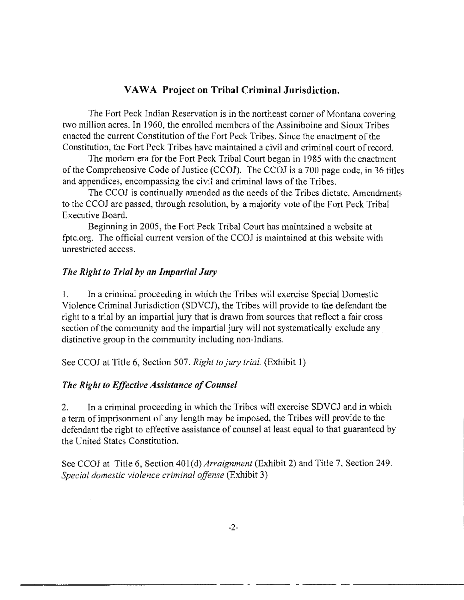## **VAW A Project on Tribal Criminal Jurisdiction.**

The Fort Peck Indian Reservation is in the northeast corner of Montana covering two million acres. In 1960, the enrolled members of the Assiniboine and Sioux Tribes enacted the current Constitution of the Fort Peck Tribes. Since the enactment of the Constitution, the Fort Peck Tribes have maintained a civil and criminal court of record.

The modern era for the Fort Peck Tribal Court began in 1985 with the enactment of the Comprehensive Code of Justice (CCOJ). The CCOJ is a 700 page code, in 36 titles and appendices, encompassing the civil and criminal laws of the Tribes.

The CCOJ is continually amended as the needs of the Tribes dictate. Amendments to the CCOJ are passed, through resolution, by a majority vote of the Fort Peck Tribal Executive Board.

Beginning in 2005, the Fort Peck Tribal Court has maintained a website at [fptc.org.](http://fptc.org) The official current version of the CCOJ is maintained at this website with unrestricted access.

#### *The Right to Trial by an Impartial Jury*

1. In a criminal proceeding in which the Tribes will exercise Special Domestic Violence Criminal Jurisdiction (SDVCJ), the Tribes will provide to the defendant the right to a trial by an impartial jury that is drawn from sources that reflect a fair cross section of the community and the impartial jury will not systematically exclude any distinctive group in the community including non-Indians.

See CCOJ at Title 6, Section 507. *Right to jury trial.* (Exhibit 1)

#### *The Right to Effective Assistance of Counsel*

*2.* In a criminal proceeding in which the Tribes will exercise SDVCJ and in which a term of imprisonment of any length may be imposed, the Tribes will provide to the defendant the right to effective assistance of counsel at least equal to that guaranteed by the United States Constitution.

See CCOJ at Title 6, Section 401(d) *Arraignment* (Exhibit 2) and Title 7, Section 249. *Special domestic violence criminal offense* (Exhibit 3)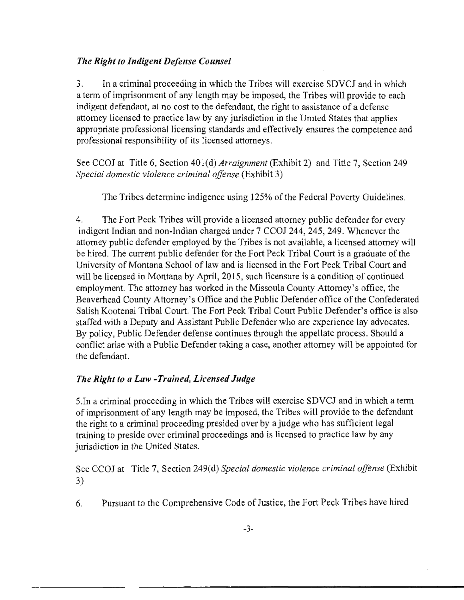## *The Right to Indigent Defense Counsel*

3. In a criminal proceeding in which the Tribes will exercise SDVCJ and in which a term of imprisonment of any length may be imposed, the Tribes will provide to each indigent defendant, at no cost to the defendant, the right to assistance of a defense attorney licensed to practice law by any jurisdiction in the United States that applies appropriate professional licensing standards and effectively ensures the competence and professional responsibility of its licensed attorneys.

See CCOJ at Title 6, Section 401(d) *Arraignment* (Exhibit 2) and Title 7, Section 249 *Special domestic violence criminal offense* (Exhibit 3)

The Tribes determine indigence using 125% of the Federal Poverty Guidelines.

4. The Fort Peck Tribes will provide a licensed attorney public defender for every indigent Indian and non-Indian charged under 7 CCOJ 244, 245, 249. Whenever the attorney public defender employed by the Tribes is not available, a licensed attorney will be hired. The current public defender for the Fort Peck Tribal Court is a graduate of the University of Montana School of law and is licensed in the Fort Peck Tribal Court and will be licensed in Montana by April, 2015, such licensure is a condition of continued employment. The attorney has worked in the Missoula County Attorney's office, the Beaverhead County Attorney's Office and the Public Defender office of the Confederated Salish Kootenai Tribal Court. The Fort Peck Tribal Court Public Defender's office is also staffed with a Deputy and Assistant Public Defender who are experience lay advocates. By policy, Public Defender defense continues through the appellate process. Should a conflict arise with a Public Defender taking a case, another attorney will be appointed for the defendant.

## *The Right to a Law -Trained, Licensed Judge*

5. In a criminal proceeding in which the Tribes will exercise SDVCJ and in which a term of imprisonment of any length may be imposed, the Tribes will provide to the defendant the right to a criminal proceeding presided over by a judge who has sufficient legal training to preside over criminal proceedings and is licensed to practice law by any jurisdiction in the United States.

See CCOJ at Title 7, Section 249(d) *Special domestic violence criminal offense* (Exhibit 3)

6. Pursuant to the Comprehensive Code of Justice, the Fort Peck Tribes have hired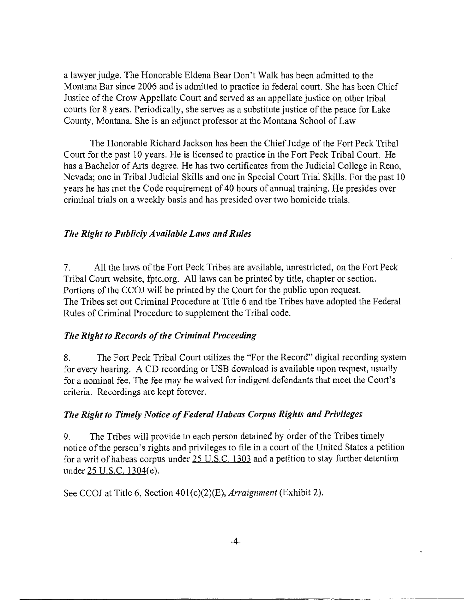a lawyer judge. The Honorable Eldena Bear Don't Walk has been admitted to the Montana Bar since 2006 and is admitted to practice in federal court. She has been Chief Justice of the Crow Appellate Court and served as an appellate justice on other tribal courts for 8 years. Periodically, she serves as a substitute justice of the peace for Lake County, Montana. She is an adjunct professor at the Montana School of Law

The Honorable Richard Jackson has been the Chief Judge of the Fort Peck Tribal Court for the past 10 years. He is licensed to practice in the Fort Peck Tribal Court. He has a Bachelor of Arts degree. He has two certificates from the Judicial College in Reno, Nevada; one in Tribal Judicial Skills and one in Special Court Trial Skills. For the past 10 years he has met the Code requirement of 40 hours of annual training. He presides over criminal trials on a weekly basis and has presided over two homicide trials.

#### *The Right to Publicly Available Laws and Rules*

7. All the laws of the Fort Peck Tribes are available, unrestricted, on the Fort Peck Tribal Court website, [fptc.org.](http://fptc.org) All laws can be printed by title, chapter or section. Portions of the CCOJ will be printed by the Court for the public upon request. The Tribes set out Criminal Procedure at Title 6 and the Tribes have adopted the Federal Rules of Criminal Procedure to supplement the Tribal code.

#### *The Right to Records of the Criminal Proceeding*

8. The Fort Peck Tribal Court utilizes the "For the Record" digital recording system for every hearing. A CD recording or USB download is available upon request, usually for a nominal fee. The fee may be waived for indigent defendants that meet the Court's criteria. Recordings are kept forever.

#### *The Right to Timely Notice of Federal Habeas Corpus Rights and Privileges*

9. The Tribes will provide to each person detained by order of the Tribes timely notice of the person's rights and privileges to file in a court of the United States a petition for a writ of habeas corpus under 25 U.S.C. 1303 and a petition to stay further detention under 25 U.S.C. 1304(e).

See CCOJ at Title 6, Section 401(c)(2)(E), *Arraignment* (Exhibit 2).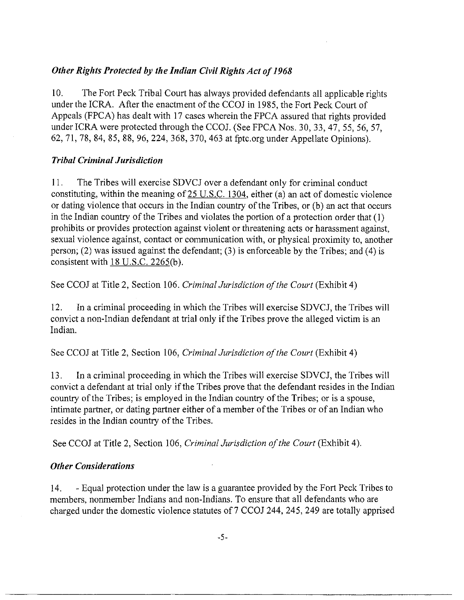## *Other Rights Protected by the Indian Civil Rights Act of 1968*

10. The Fort Peck Tribal Court has always provided defendants all applicable rights under the ICRA. After the enactment of the CCOJ in 1985, the Fort Peck Court of Appeals (FPCA) has dealt with 17 cases wherein the FPCA assured that rights provided under ICRA were protected through the CCOJ. (See FPCA Nos. 30, 33, 47, 55, 56, 57, 62, 71, 78, 84, 85, 88, 96, 224, 368, 370, 463 at [fptc.org u](http://fptc.org)nder Appellate Opinions).

## *Tribal Criminal Jurisdiction*

11. The Tribes will exercise SDVCJ over a defendant only for criminal conduct constituting, within the meaning of  $25$  U.S.C. 1304, either (a) an act of domestic violence or dating violence that occurs in the Indian country of the Tribes, or (b) an act that occurs in the Indian country of the Tribes and violates the portion of a protection order that (1) prohibits or provides protection against violent or threatening acts or harassment against, sexual violence against, contact or communication with, or physical proximity to, another person; (2) was issued against the defendant; (3) is enforceable by the Tribes; and (4) is consistent with  $18$  U.S.C. 2265(b).

See CCOJ at Title 2, Section 106. *Criminal Jurisdiction of the Court* (Exhibit 4)

12. In a criminal proceeding in which the Tribes will exercise SDVCJ, the Tribes will convict a non-Indian defendant at trial only if the Tribes prove the alleged victim is an Indian.

See CCOJ at Title 2, Section 106, *Criminal Jurisdiction of the Court* (Exhibit 4)

13. In a criminal proceeding in which the Tribes will exercise SDVCJ, the Tribes will convict a defendant at trial only if the Tribes prove that the defendant resides in the Indian country of the Tribes; is employed in the Indian country of the Tribes; or is a spouse, intimate partner, or dating partner either of a member of the Tribes or of an Indian who resides in the Indian country of the Tribes.

See CCOJ at Title 2, Section 106, *Criminal Jurisdiction of the Court* (Exhibit 4).

## *Other Considerations*

14. - Equal protection under the law is a guarantee provided by the Fort Peck Tribes to members, nonmember Indians and non-Indians. To ensure that all defendants who are charged under the domestic violence statutes of 7 CCOJ 244, 245, 249 are totally apprised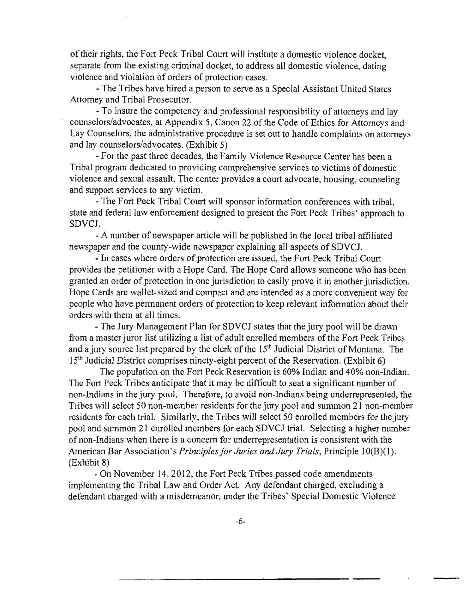of their rights, the Fort Peck Tribal Court will institute a domestic violence docket, separate from the existing criminal docket, to address all domestic violence, dating violence and violation of orders of protection cases.

- The Tribes have hired a person to serve as a Special Assistant United States Attorney and Tribal Prosecutor.

- To insure the competency and professional responsibility of attorneys and lay counselors/advocates, at Appendix 5, Canon 22 of the Code of Ethics for Attorneys and Lay Counselors, the administrative procedure is set out to handle complaints on attorneys and lay counselors/advocates. (Exhibit 5)

- For the past three decades, the Family Violence Resource Center has been a Tribal program dedicated to providing comprehensive services to victims of domestic violence and sexual assault. The center provides a court advocate, housing, counseling and support services to any victim.

- The Fort Peck Tribal Court will sponsor information conferences with tribal, state and federal law enforcement designed to present the Fort Peck Tribes' approach to SDVCJ.

- A number of newspaper article will be published in the local tribal affiliated newspaper and the county-wide newspaper explaining all aspects of SDVCJ.

- In cases where orders of protection are issued, the Fort Peck Tribal Court provides the petitioner with a Hope Card. The Hope Card allows someone who has been granted an order of protection in one jurisdiction to easily prove it in another jurisdiction. Hope Cards are wallet-sized and compact and are intended as a more convenient way for people who have permanent orders of protection to keep relevant information about their orders with them at all times.

- The Jury Management Plan for SDVCJ states that the jury pool will be drawn from a master juror list utilizing a list of adult enrolled members of the Fort Peck Tribes and a jury source list prepared by the clerk of the  $15<sup>th</sup>$  Judicial District of Montana. The 15<sup>th</sup> Judicial District comprises ninety-eight percent of the Reservation. (Exhibit 6)

The population on the Fort Peck Reservation is 60% Indian and 40% non-Indian. The Fort Peck Tribes anticipate that it may be difficult to seat a significant number of non-Indians in the jury pool. Therefore, to avoid non-Indians being underrepresented, the Tribes will select 50 non-member residents for the jury pool and summon 21 non-member residents for each trial. Similarly, the Tribes will select 50 enrolled members for the jury pool and summon 21 enrolled members for each SDVCJ trial. Selecting a higher number of non-Indians when there is a concern for underrepresentation is consistent with the American Bar Association's *Principles for Juries and Jury Trials,* Principle 10(B)(1). (Exhibit 8)

- On November 14, 2012, the Fort Peck Tribes passed code amendments implementing the Tribal Law and Order Act. Any defendant charged, excluding a defendant charged with a misdemeanor, under the Tribes' Special Domestic Violence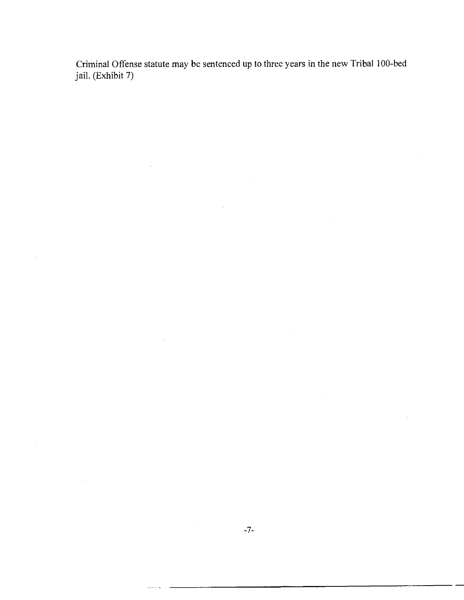Criminal Offense statute may be sentenced up to three years in the new Tribal 100-bed jail. (Exhibit 7)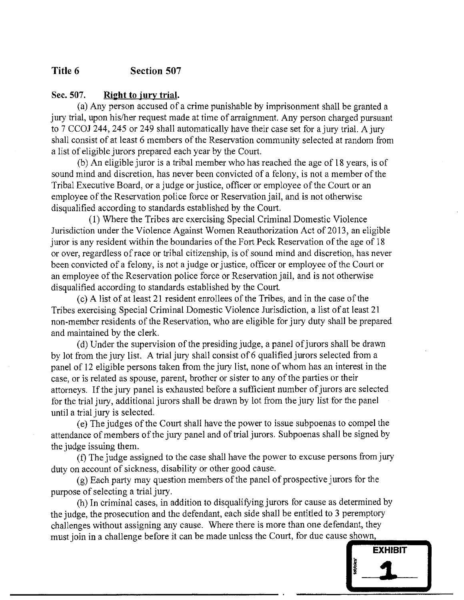## **Title 6 Section 507**

#### **Sec. 507. Right to jury trial.**

(a) Any person accused of a crime punishable by imprisonment shall be granted a jury trial, upon his/her request made at time of arraignment. Any person charged pursuant to 7 CCOJ 244, 245 or 249 shall automatically have their case set for a jury trial. A jury shall consist of at least 6 members of the Reservation community selected at random from a list of eligible jurors prepared each year by the Court.

(b) An eligible juror is a tribal member who has reached the age of 18 years, is of sound mind and discretion, has never been convicted of a felony, is not a member of the Tribal Executive Board, or a judge or justice, officer or employee of the Court or an employee of the Reservation police force or Reservation jail, and is not otherwise disqualified according to standards established by the Court.

(1) Where the Tribes are exercising Special Criminal Domestic Violence Jurisdiction under the Violence Against Women Reauthorization Act of 2013, an eligible juror is any resident within the boundaries of the Fort Peck Reservation of the age of 18 or over, regardless of race or tribal citizenship, is of sound mind and discretion, has never been convicted of a felony, is not a judge or justice, officer or employee of the Court or an employee of the Reservation police force or Reservation jail, and is not otherwise disqualified according to standards established by the Court

(c) A list of at least 21 resident enrollees of the Tribes, and in the case of the Tribes exercising Special Criminal Domestic Violence Jurisdiction, a list of at least 21 non-member residents of the Reservation, who are eligible for jury duty shall be prepared and maintained by the clerk.

(d) Under the supervision of the presiding judge, a panel of jurors shall be drawn by lot from the jury list. A trial jury shall consist of 6 qualified jurors selected from a panel of 12 eligible persons taken from the jury list, none of whom has an interest in the case, or is related as spouse, parent, brother or sister to any of the parties or their attorneys. If the jury panel is exhausted before a sufficient number of jurors are selected for the trial jury, additional jurors shall be drawn by lot from the jury list for the panel until a trial jury is selected.

(e) The judges of the Court shall have the power to issue subpoenas to compel the attendance of members of the jury panel and of trial jurors. Subpoenas shall be signed by the judge issuing them.

(f) The judge assigned to the case shall have the power to excuse persons from jury duty on account of sickness, disability or other good cause.

(g) Each party may question members of the panel of prospective jurors for the purpose of selecting a trial jury.

(h) In criminal cases, in addition to disqualifying jurors for cause as determined by the judge, the prosecution and the defendant, each side shall be entitled to 3 peremptory challenges without assigning any cause. Where there is more than one defendant, they must join in a challenge before it can be made unless the Court, for due cause shown,

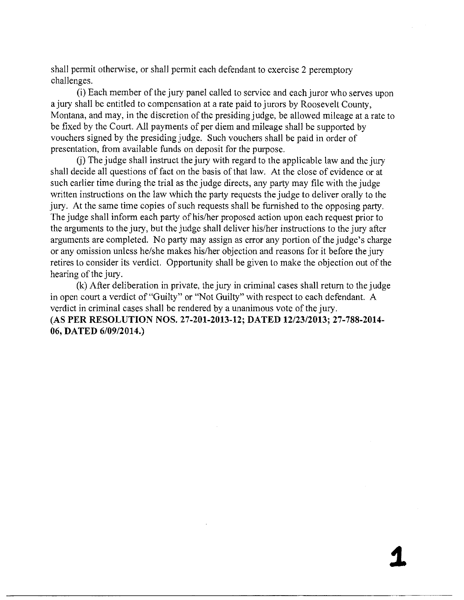shall permit otherwise, or shall permit each defendant to exercise 2 peremptory challenges.

(i) Each member of the jury panel called to service and each juror who serves upon a jury shall be entitled to compensation at a rate paid to jurors by Roosevelt County, Montana, and may, in the discretion of the presiding judge, be allowed mileage at a rate to be fixed by the Court. All payments of per diem and mileage shall be supported by vouchers signed by the presiding judge. Such vouchers shall be paid in order of presentation, from available funds on deposit for the purpose.

(j) The judge shall instruct the jury with regard to the applicable law and the jury shall decide all questions of fact on the basis of that law. At the close of evidence or at such earlier time during the trial as the judge directs, any party may file with the judge written instructions on the law which the party requests the judge to deliver orally to the jury. At the same time copies of such requests shall be furnished to the opposing party. The judge shall inform each party of his/her proposed action upon each request prior to the arguments to the jury, but the judge shall deliver his/her instructions to the jury after arguments are completed. No party may assign as error any portion of the judge's charge or any omission unless he/she makes his/her objection and reasons for it before the jury retires to consider its verdict. Opportunity shall be given to make the objection out of the hearing of the jury.

(k) After deliberation in private, the jury in criminal cases shall return to the judge in open court a verdict of "Guilty" or "Not Guilty" with respect to each defendant. A verdict in criminal cases shall be rendered by a unanimous vote of the jury. **(AS PE R RESOLUTIO N NOS. 27-201-2013-12; DATED 12/23/2013; 27-788-2014- 06, DATED 6/09/2014.)**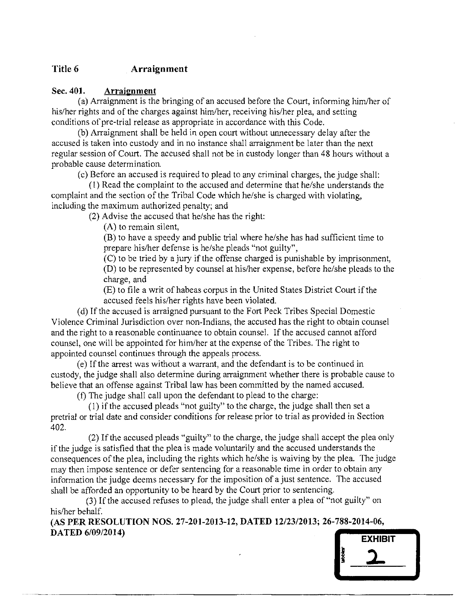## **Title 6 Arraignment**

#### **Sec. 401. Arraignment**

(a) Arraignment is the bringing of an accused before the Court, informing him/her of his/her rights and of the charges against him/her, receiving his/her plea, and setting conditions of pre-trial release as appropriate in accordance with this Code.

(b) Arraignment shall be held in open court without unnecessary delay after the accused is taken into custody and in no instance shall arraignment be later than the next regular session of Court. The accused shall not be in custody longer than 48 hours without a probable cause determination

(c) Before an accused is required to plead to any criminal charges, the judge shall:

(1) Read the complaint to the accused and determine that he/she understands the complaint and the section of the Tribal Code which he/she is charged with violating, including the maximum authorized penalty; and

(2) Advise the accused that he/she has the right:

(A) to remain silent,

(B) to have a speedy and public trial where he/she has had sufficient time to prepare his/her defense is he/she pleads "not guilty",

(C) to be tried by a jury if the offense charged is punishable by imprisonment, (D) to be represented by counsel at his/her expense, before he/she pleads to the charge, and

(E) to file a writ of habeas corpus in the United States District Court if the accused feels his/her rights have been violated.

(d) If the accused is arraigned pursuant to the Fort Peck Tribes Special Domestic Violence Criminal Jurisdiction over non-Indians, the accused has the right to obtain counsel and the right to a reasonable continuance to obtain counsel. If the accused cannot afford counsel, one will be appointed for him/her at the expense of the Tribes. The right to appointed counsel continues through the appeals process.

(e) If the arrest was without a warrant, and the defendant is to be continued in custody, the judge shall also determine during arraignment whether there is probable cause to believe that an offense against Tribal law has been committed by the named accused.

(f) The judge shall call upon the defendant to plead to the charge:

(1) if the accused pleads "not guilty" to the charge, the judge shall then set a pretrial or trial date and consider conditions for release prior to trial as provided in Section 402.

(2) If the accused pleads "guilty" to the charge, the judge shall accept the plea only if the judge is satisfied that the plea is made voluntarily and the accused understands the consequences of the plea, including the rights which he/she is waiving by the plea. The judge may then impose sentence or defer sentencing for a reasonable time in order to obtain any information the judge deems necessary for the imposition of a just sentence. The accused shall be afforded an opportunity to be heard by the Court prior to sentencing.

(3) If the accused refuses to plead, the judge shall enter a plea of "not guilty" on his/her behalf.

**(AS PER RESOLUTION NOS. 27-201-2013-12, DATED 12/23/2013; 26-788-2014-06, DATED 6/09/2014)** 

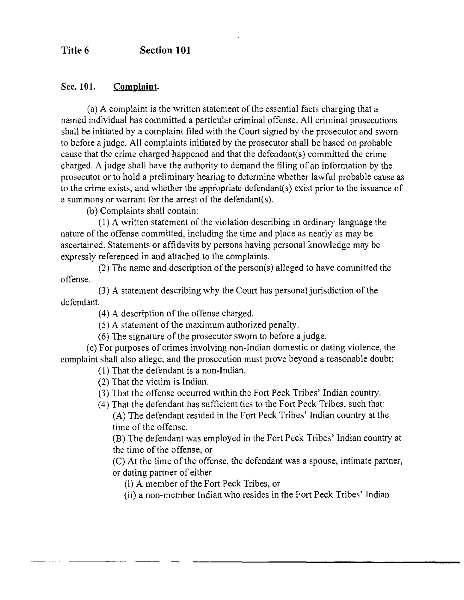#### **Title 6 Section 101**

#### **Sec. 101. Complaint.**

(a) A complaint is the written statement of the essential facts charging that a named individual has committed a particular criminal offense. All criminal prosecutions shall be initiated by a complaint filed with the Court signed by the prosecutor and sworn to before a judge. All complaints initiated by the prosecutor shall be based on probable cause that the crime charged happened and that the defendant(s) committed the crime charged. A judge shall have the authority to demand the filing of an information by the prosecutor or to hold a preliminary hearing to determine whether lawful probable cause as to the crime exists, and whether the appropriate defendant(s) exist prior to the issuance of a summons or warrant for the arrest of the defendant(s).

(b) Complaints shall contain:

(1) A written statement of the violation describing in ordinary language the nature of the offense committed, including the time and place as nearly as may be ascertained. Statements or affidavits by persons having personal knowledge may be expressly referenced in and attached to the complaints.

(2) The name and description of the person(s) alleged to have committed the offense.

(3) A statement describing why the Court has personal jurisdiction of the defendant.

(4) A description of the offense charged.

(5) A statement of the maximum authorized penalty.

(6) The signature of the prosecutor sworn to before a judge,

(c) For purposes of crimes involving non-Indian domestic or dating violence, the complaint shall also allege, and the prosecution must prove beyond a reasonable doubt:

(1) That the defendant is a non-Indian.

(2) That the victim is Indian.

(3) That the offense occurred within the Fort Peck Tribes' Indian country.

(4) That the defendant has sufficient ties to the Fort Peck Tribes, such that:

(A) The defendant resided in the Fort Peck Tribes' Indian country at the time of the offense.

(B) The defendant was employed in the Fort Peck Tribes' Indian country at the time of the offense, or

(C) At the time of the offense, the defendant was a spouse, intimate partner, or dating partner of either

(i) A member of the Fort Peck Tribes, or

(ii) a non-member Indian who resides in the Fort Peck Tribes' Indian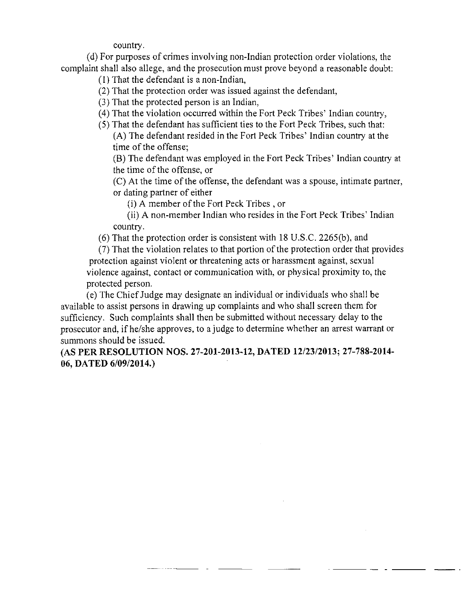country.

(d) For purposes of crimes involving non-Indian protection order violations, the complaint shall also allege, and the prosecution must prove beyond a reasonable doubt:

(1) That the defendant is a non-Indian,

(2) That the protection order was issued against the defendant,

(3) That the protected person is an Indian,

(4) That the violation occurred within the Fort Peck Tribes' Indian country,

(5) That the defendant has sufficient ties to the Fort Peck Tribes, such that: **(A)** The defendant resided in the Fort Peck Tribes' Indian country at the time of the offense;

(B) The defendant was employed in the Fort Peck Tribes' Indian country at the time of the offense, or

(C) At the time of the offense, the defendant was a spouse, intimate partner, or dating partner of either

(i) A member of the Fort Peck Tribes , or

(ii) A non-member Indian who resides in the Fort Peck Tribes' Indian country.

(6) That the protection order is consistent with 18 U.S.C. 2265(b), and

(7) That the violation relates to that portion of the protection order that provides protection against violent or threatening acts or harassment against, sexual violence against, contact or communication with, or physical proximity to, the protected person.

(e) The Chief Judge may designate an individual or individuals who shall be available to assist persons in drawing up complaints and who shall screen them for sufficiency. Such complaints shall then be submitted without necessary delay to the prosecutor and, if he/she approves, to a judge to determine whether an arrest warrant or summons should be issued.

**(AS PE R RESOLUTIO N NOS. 27-201-2013-12, DATED 12/23/2013; 27-788-2014- 06, DATED 6/09/2014.)**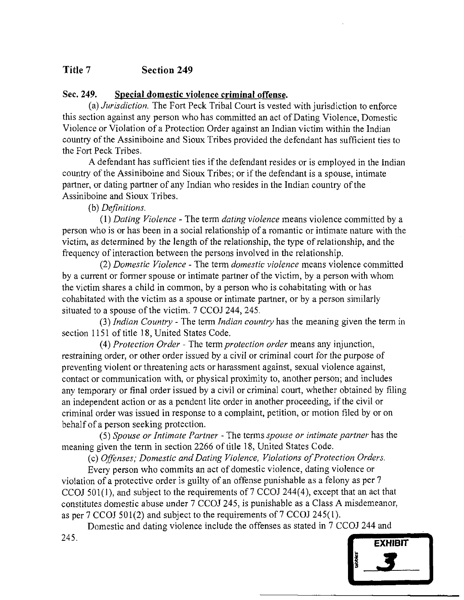# **Title 7 Section 249**

## **Sec. 249. Special domestic violence criminal offense.**

(a) *Jurisdiction.* The Fort Peck Tribal Court is vested with jurisdiction to enforce this section against any person who has committed an act of Dating Violence, Domestic Violence or Violation of a Protection Order against an Indian victim within the Indian country of the Assiniboine and Sioux Tribes provided the defendant has sufficient ties to the Fort Peck Tribes.

A defendant has sufficient ties if the defendant resides or is employed in the Indian country of the Assiniboine and Sioux Tribes; or if the defendant is a spouse, intimate partner, or dating partner of any Indian who resides in the Indian country of the Assiniboine and Sioux Tribes.

(b) *Definitions.* 

(1) *Dating Violence* - The term *dating violence* means violence committed by a person who is or has been in a social relationship of a romantic or intimate nature with the victim, as determined by the length of the relationship, the type of relationship, and the frequency of interaction between the persons involved in the relationship.

(2) *Domestic Violence* - The term *domestic violence* means violence committed by a current or former spouse or intimate partner of the victim, by a person with whom the victim shares a child in common, by a person who is cohabitating with or has cohabitated with the victim as a spouse or intimate partner, or by a person similarly situated to a spouse of the victim. 7 CCOJ 244, 245.

(3) *Indian Country* - The term *Indian country* has the meaning given the term in section 1151 of title 18, United States Code.

(4) *Protection Order -* The term *protection order* means any injunction, restraining order, or other order issued by a civil or criminal court for the purpose of preventing violent or threatening acts or harassment against, sexual violence against, contact or communication with, or physical proximity to, another person; and includes any temporary or final order issued by a civil or criminal court, whether obtained by filing an independent action or as a pendent lite order in another proceeding, if the civil or criminal order was issued in response to a complaint, petition, or motion filed by or on behalf of a person seeking protection.

(5) *Spouse or Intimate Partner* - The terms *spouse or intimate partner* has the meaning given the term in section 2266 of title 18, United States Code.

(c) *Offenses; Domestic and Dating Violence, Violations of Protection Orders.* 

Every person who commits an act of domestic violence, dating violence or violation of a protective order is guilty of an offense punishable as a felony as per 7 CCOJ 501(1), and subject to the requirements of 7 CCOJ 244(4), except that an act that constitutes domestic abuse under 7 CCOJ 245, is punishable as a Class A misdemeanor, as per 7 CCOJ 501(2) and subject to the requirements of 7 CCOJ 245(1).

Domestic and dating violence include the offenses as stated in 7 CCOJ 244 and 245.

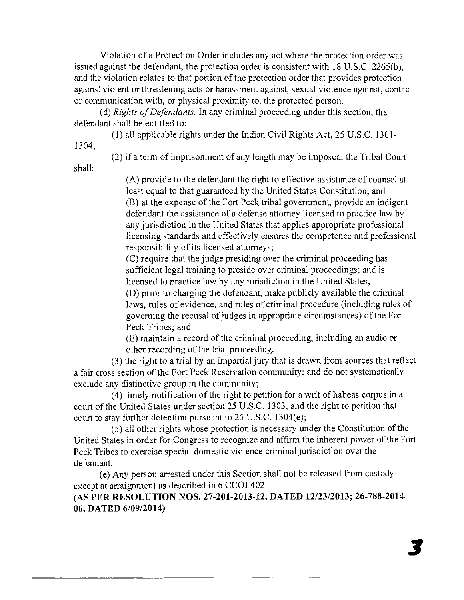Violation of a Protection Order includes any act where the protection order was issued against the defendant, the protection order is consistent with 18 U.S.C. 2265(b), and the violation relates to that portion of the protection order that provides protection against violent or threatening acts or harassment against, sexual violence against, contact or communication with, or physical proximity to, the protected person.

(d) *Rights of Defendants.* In any criminal proceeding under this section, the defendant shall be entitled to:

(1) all applicable rights under the Indian Civil Rights Act, 25 U.S.C. 1301-

1304;

shall:

(2) if a term of imprisonment of any length may be imposed, the Tribal Court

(A) provide to the defendant the right to effective assistance of counsel at least equal to that guaranteed by the United States Constitution; and (B) at the expense of the Fort Peck tribal government, provide an indigent defendant the assistance of a defense attorney licensed to practice law by any jurisdiction in the United States that applies appropriate professional licensing standards and effectively ensures the competence and professional responsibility of its licensed attorneys;

(C) require that the judge presiding over the criminal proceeding has sufficient legal training to preside over criminal proceedings; and is licensed to practice law by any jurisdiction in the United States;

(D) prior to charging the defendant, make publicly available the criminal laws, rules of evidence, and rules of criminal procedure (including rules of governing the recusal of judges in appropriate circumstances) of the Fort Peck Tribes; and

(E) maintain a record of the criminal proceeding, including an audio or other recording of the trial proceeding.

(3) the right to a trial by an impartial jury that is drawn from sources that reflect a fair cross section of the Fort Peck Reservation community; and do not systematically exclude any distinctive group in the community;

(4) timely notification of the right to petition for a writ of habeas corpus in a court of the United States under section 25 U.S.C. 1303, and the right to petition that court to stay further detention pursuant to 25 U.S.C. 1304(e);

(5) all other rights whose protection is necessary under the Constitution of the United States in order for Congress to recognize and affirm the inherent power of the Fort Peck Tribes to exercise special domestic violence criminal jurisdiction over the defendant.

(e) Any person arrested under this Section shall not be released from custody except at arraignment as described in 6 CCOJ 402.

**(AS PE R RESOLUTIO N NOS. 27-201-2013-12, DATED 12/23/2013; 26-788-2014- 06, DATED 6/09/2014)**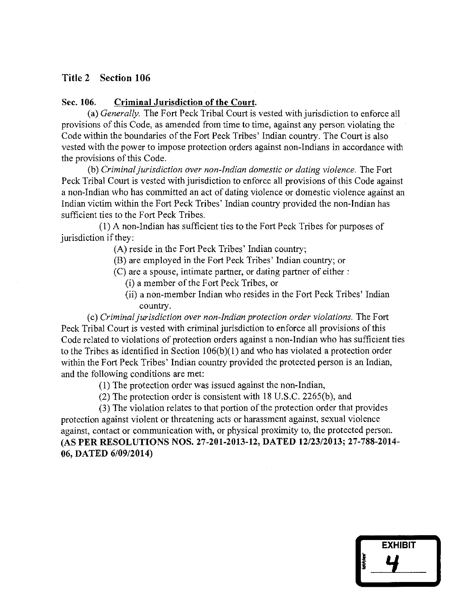## **Title 2 Section 106**

#### **Sec. 106. Criminal Jurisdiction of the Court.**

(a) *Generally.* The Fort Peck Tribal Court is vested with jurisdiction to enforce all provisions of this Code, as amended from time to time, against any person violating the Code within the boundaries of the Fort Peck Tribes' Indian country. The Court is also vested with the power to impose protection orders against non-Indians in accordance with the provisions of this Code.

(b) *Criminal jurisdiction over non-Indian domestic or dating violence.* The Fort Peck Tribal Court is vested with jurisdiction to enforce all provisions of this Code against a non-Indian who has committed an act of dating violence or domestic violence against an Indian victim within the Fort Peck Tribes' Indian country provided the non-Indian has sufficient ties to the Fort Peck Tribes.

(1) A non-Indian has sufficient ties to the Fort Peck Tribes for purposes of jurisdiction if they:

(A) reside in the Fort Peck Tribes' Indian country;

(B) are employed in the Fort Peck Tribes' Indian country; or

(C) are a spouse, intimate partner, or dating partner **of** either:

(i) a member of the Fort Peck Tribes, or

(ii) a non-member Indian who resides in the Fort Peck Tribes' Indian country.

(c) *Criminal jurisdiction over non-Indian protection order violations.* The Fort Peck Tribal Court is vested with criminal jurisdiction to enforce all provisions of this Code related to violations of protection orders against a non-Indian who has sufficient ties to the Tribes as identified in Section 106(b)(1) and who has violated a protection order within the Fort Peck Tribes' Indian country provided the protected person is an Indian, and the following conditions are met:

(1) The protection order was issued against the non-Indian,

(2) The protection order is consistent with 18 U.S.C. 2265(b), and

(3) The violation relates to that portion of the protection order that provides protection against violent or threatening acts or harassment against, sexual violence against, contact or communication with, or physical proximity to, the protected person. (AS **PE R RESOLUTION S NOS. 27-201-2013-12, DATED 12/23/2013; 27-788-2014- 06, DATED 6/09/2014)** 

| <b>EXHIBIT</b> |  |
|----------------|--|
| <b>Catcher</b> |  |
|                |  |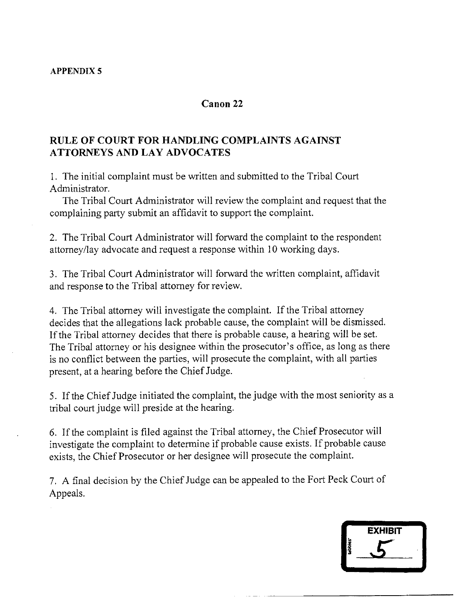#### **APPENDIX 5**

#### **Canon 22**

## **RUL E O F COUR T FO R HANDLIN G COMPLAINT S AGAINS T ATTORNEY S AND LA Y ADVOCATE S**

1. The initial complaint must be written and submitted to the Tribal Court Administrator.

The Tribal Court Administrator will review the complaint and request that the complaining party submit an affidavit to support the complaint.

2. The Tribal Court Administrator will forward the complaint to the respondent attorney/lay advocate and request a response within 10 working days.

3. The Tribal Court Administrator will forward the written complaint, affidavit and response to the Tribal attorney for review.

4. The Tribal attorney will investigate the complaint. If the Tribal attorney decides that the allegations lack probable cause, the complaint will be dismissed. If the Tribal attorney decides that there is probable cause, a hearing will be set. The Tribal attorney or his designee within the prosecutor's office, as long as there is no conflict between the parties, will prosecute the complaint, with all parties present, at a hearing before the Chief Judge.

5. If the Chief Judge initiated the complaint, the judge with the most seniority as a tribal court judge will preside at the hearing.

6. If the complaint is filed against the Tribal attorney, the Chief Prosecutor will investigate the complaint to determine if probable cause exists. If probable cause exists, the Chief Prosecutor or her designee will prosecute the complaint.

7. A final decision by the Chief Judge can be appealed to the Fort Peck Court of Appeals.

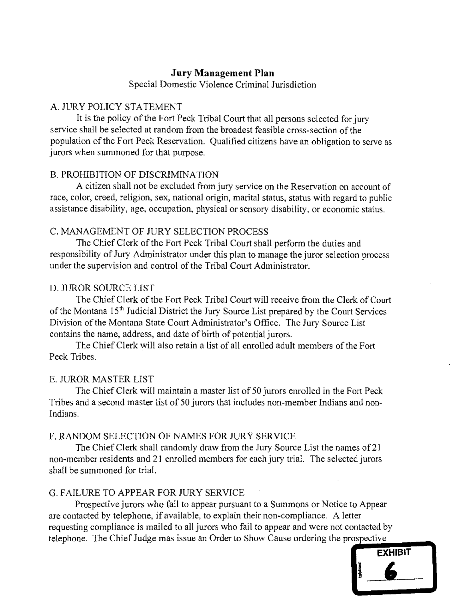## **Jury Management Plan**

Special Domestic Violence Criminal Jurisdiction

## A. JURY POLICY STATEMENT

It is the policy of the Fort Peck Tribal Court that all persons selected for jury service shall be selected at random from the broadest feasible cross-section of the population of the Fort Peck Reservation. Qualified citizens have an obligation to serve as jurors when summoned for that purpose.

#### B. PROHIBITION OF DISCRIMINATION

A citizen shall not be excluded from jury service on the Reservation on account of race, color, creed, religion, sex, national origin, marital status, status with regard to public assistance disability, age, occupation, physical or sensory disability, or economic status.

#### C. MANAGEMENT OF JURY SELECTION PROCESS

The Chief Clerk of the Fort Peck Tribal Court shall perform the duties and responsibility of Jury Administrator under this plan to manage the juror selection process under the supervision and control of the Tribal Court Administrator.

#### D. JUROR SOURCE LIST

The Chief Clerk of the Fort Peck Tribal Court will receive from the Clerk of Court of the Montana 15<sup>th</sup> Judicial District the Jury Source List prepared by the Court Services Division of the Montana State Court Administrator's Office. The Jury Source List contains the name, address, and date of birth of potential jurors.

The Chief Clerk will also retain a list of all enrolled adult members of the Fort Peck Tribes.

#### E. JUROR MASTER LIST

The Chief Clerk will maintain a master list of 50 jurors enrolled in the Fort Peck Tribes and a second master list of 50 jurors that includes non-member Indians and non-Indians.

## F. RANDOM SELECTION OF NAMES FOR JURY SERVICE

The Chief Clerk shall randomly draw from the Jury Source List the names of 21 non-member residents and 21 enrolled members for each jury trial. The selected jurors shall be summoned for trial.

#### G. FAILURE TO APPEAR FOR JURY SERVICE

Prospective jurors who fail to appear pursuant to a Summons or Notice to Appear are contacted by telephone, if available, to explain their non-compliance. A letter requesting compliance is mailed to all jurors who fail to appear and were not contacted by telephone. The Chief Judge mas issue an Order to Show Cause ordering the prospective

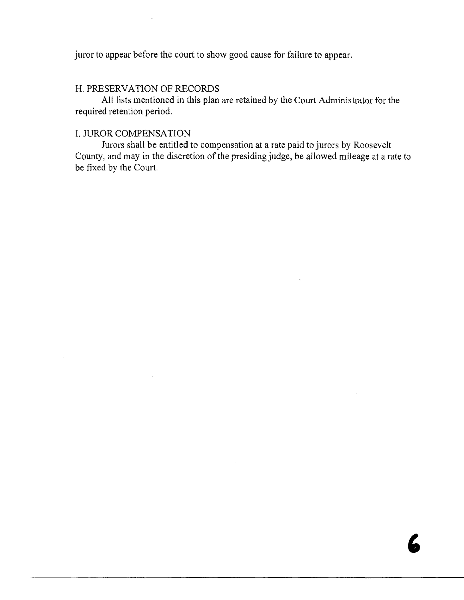juror to appear before the court to show good cause for failure to appear.

#### H. PRESERVATION OF RECORDS

All lists mentioned in this plan are retained by the Court Administrator for the required retention period.

## I. JUROR COMPENSATION

Jurors shall be entitled to compensation at a rate paid to jurors by Roosevelt County, and may in the discretion of the presiding judge, be allowed mileage at a rate to be fixed by the Court.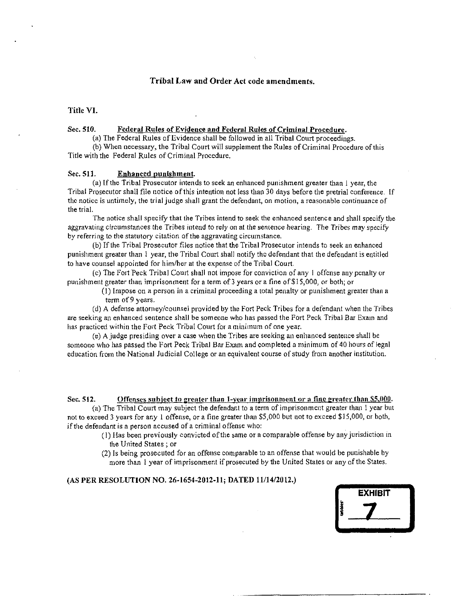#### **Triba l La w and Order Act code amendments.**

**Title VI.** 

#### **Sec. 510. Federal Rules of Evidence and Federal Rules of Criminal Procedure.**

**(a) The Federal Rules of Evidence shall be followed in all Tribal Court proceedings.** 

**(b) When necessary, the Tribal Court will supplement the Rules of Criminal Procedure of this Title with the Federal Rules of Criminal Procedure.** 

#### **Sec. 511. Enhanced punishment.**

**(a) If the Tribal Prosecutor intends to seek an enhanced punishment greater than 1 year, the Tribal Prosecutor shall file notice of this intention not less than 30 days before the pretrial conference, If the notice is untimely, the trial judge shall grant the defendant, on motion, a reasonable continuance of the trial.** 

**The notice shall specify that the Tribes intend to seek the enhanced sentence and shall specify the aggravating circumstances the Tribes intend to rely on at the sentence hearing. The Tribes may specify by referring to the statutory citation of the aggravating circumstance.** 

**(b) If the Tribal Prosecutor files notice that the Tribal Prosecutor intends to seek an enhanced punishment greater than 1 year, the Tribal Court shall notify the defendant that the defendant is entitled to have counsel appointed for him/her at the expense of the Tribal Court.** 

**(c) The Fort Peck Tribal Court shall not impose for conviction of any** I **offense any penalty or punishment greater than imprisonment for a term of 3 years or a fine of \$15,000, or both; or** 

**(1) Impose on a person in a criminal proceeding a total penalty or punishment greater than a term of 9 years.** 

**(d) A defense attorney/counsel provided by the Fort Peck Tribes for a defendant when the Tribes are seeking an enhanced sentence shall be someone who has passed the Fort Peck Tribal Bar Exam and has practiced within the Fort Peck Tribal Court for a minimum of one year.** 

**(e) A judge presiding over a case when the Tribes are seeking an enhanced sentence shall be someone who has passed the Fort Peck Tribal Bar Exam and completed a minimum of 40 hours of legal education from the National Judicial College or an equivalent course of study from another institution.** 

**Sec. 512. Offenses subject to greater than l-year imprisonment or a fine greater than \$5,000. (a) The Tribal Court may subject the defendant to a term of imprisonment greater than 1 year but not to exceed 3 years for any 1 offense, or a fine greater than \$5,000 but not to exceed \$15,000, or both,** 

**if the defendant is a person accused of a criminal offense who:** 

- **(1) Has been previously convicted of the same or a comparable offense by any jurisdiction in the United States ; or**
- **(2) Is being prosecuted for an offense comparable to an offense that would be punishable by more than 1 year of imprisonment if prosecuted by the United States or any of the States.**

#### (AS PER RESOLUTION NO. 26-1654-2012-11; DATED 11/14/2012.)

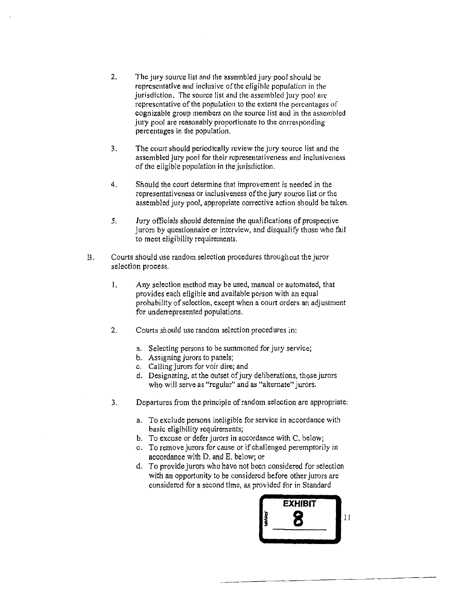- **2. The jury source list and the assembled jury pool should bo representative and inclusive of the eligible population in the jurisdiction. The source list and the assembled jury pool are representative of the population to the extent the percentages of cognizable group members on the source list and in the assembled jury pool are reasonably proportionate to the corresponding percentages in the population,**
- **3. The court should periodically review the jury source list and the assembled jury pool for their representativeness and inclusiveness of the eligible population in the jurisdiction.**
- **4. Should the court determine that improvement is needed in the representativeness or inclusiveness of the jury source list or the assembled jury pool, appropriate corrective action should be taken.**
- **5. Jury officials should determine the qualifications of prospective jurors by questionnaire or interview, and disqualify those who fail to meet eligibility requirements.**
- **Courts should use random selection procedures throughout the juror**   $B<sub>1</sub>$ **selection process.** 
	- 1. **Any selection method may be used, manual or automated, that provides each eligible and available person with an equal probability of selection, except when a court orders an adjustment for underrepresented populations.**
	- **2. Courts should use random selection procedures in:** 
		- **a. Selecting persons to be summoned for jury service;**
		- **b. Assigning jurors to panels;**
		- **c. Calling jurors for voir dire; and**
		- **d. Designating, at the outset of jury deliberations, those jurors who will serve as "regular" and as "alternate" jurors.**
	- **3. Departures from the principle of random selection are appropriate:** 
		- **a. To exclude persons ineligible for service in accordance with basic eligibility requirements;**
		- **b. To excuse or defer jurors in accordance with C. below;**
		- **c. To remove jurors for cause or if challenged peremptorily in accordance with D. and E. below; or**
		- *d.* **To provide jurors who have not been considered for selection with an opportunity to be considered before other jurors are considered for a second time, as provided for in Standard**

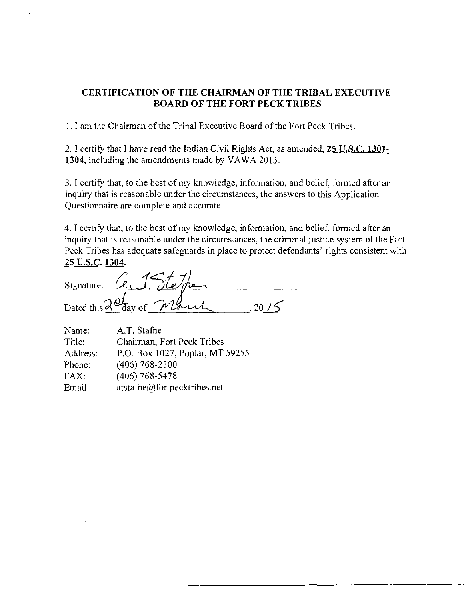## **CERTIFICATIO N O F TH E CHAIRMAN OF TH E TRIBA L EXECUTIV E BOAR D O F TH E FOR T PEC K TRIBE S**

1. I am the Chairman of the Tribal Executive Board of the Fort Peck Tribes.

2.**1** certify that **I** have read the Indian Civil Rights Act, as amended, **25** U.S.C. **1301- 1304,** including the amendments made by VAWA 2013.

3. I certify that, to the best of my knowledge, information, and belief, formed after an inquiry that is reasonable under the circumstances, the answers to this Application Questionnaire are complete and accurate.

4. I certify that, to the best of my knowledge, information, and belief, formed after an inquiry that is reasonable under the circumstances, the criminal justice system of the Fort Peck Tribes has adequate safeguards in place to protect defendants' rights consistent with **25 U.S.C. 1304.** 

| Signature: | $\ell$ .                                                 |  |
|------------|----------------------------------------------------------|--|
|            | Dated this $\lambda_{\text{day of}}$ $\gamma_{\text{1}}$ |  |

| Name:    | A.T. Stafne                     |
|----------|---------------------------------|
| Title:   | Chairman, Fort Peck Tribes      |
| Address: | P.O. Box 1027, Poplar, MT 59255 |
| Phone:   | $(406)$ 768-2300                |
| FAX:     | $(406)$ 768-5478                |
| Email:   | atstafne@fortpecktribes.net     |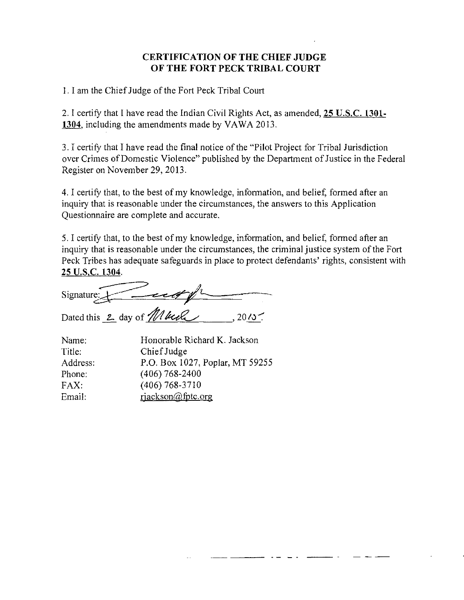## **CERTIFICATION OF THE CHIEF JUDGE O F TH E FOR T PEC K TRIBA L COUR T**

1. I am the Chief Judge of the Fort Peck Tribal Court

2. I certify that I have read the Indian Civil Rights Act, as amended, **25 U.S.C. 1301- 1304.** including the amendments made by VAWA 2013.

3. I certify that I have read the final notice of the "Pilot Project for Tribal Jurisdiction over Crimes of Domestic Violence" published by the Department of Justice in the Federal Register on November 29, 2013.

4. I certify that, to the best of my knowledge, information, and belief, formed after an inquiry that is reasonable under the circumstances, the answers to this Application Questionnaire are complete and accurate.

5. I certify that, to the best of my knowledge, information, and belief, formed after an inquiry that is reasonable under the circumstances, the criminal justice system of the Fort Peck Tribes has adequate safeguards in place to protect defendants' rights, consistent with **25 U.S.C. 1304.** 

Signature: Dated this  $2$  day of  $\frac{1}{100}$  below , 2015.

| Name:    | Honorable Richard K. Jackson    |
|----------|---------------------------------|
| Title:   | Chief Judge                     |
| Address: | P.O. Box 1027, Poplar, MT 59255 |
| Phone:   | $(406)$ 768-2400                |
| FAX:     | $(406)$ 768-3710                |
| Email:   | riackson@fptc.org               |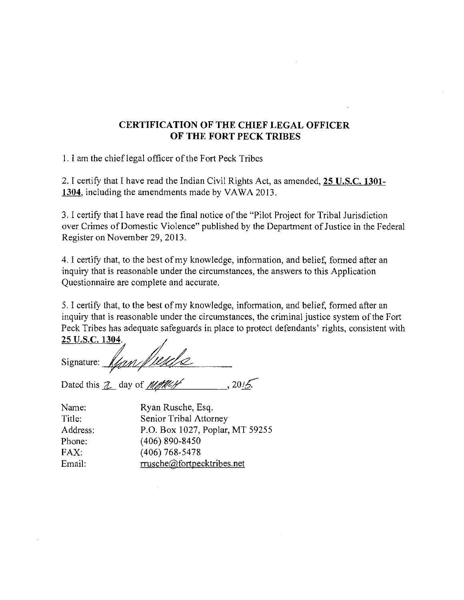## **CERTIFICATION OF THE CHIEF LEGAL OFFICER OF THE FORT PECK TRIBES**

1. I am the chief legal officer of the Fort Peck Tribes

2. I certify that I have read the Indian Civil Rights Act, as amended, **25 U.S.C. 1301- 1304.** including the amendments made by VAWA 2013.

3. I certify that I have read the final notice of the "Pilot Project for Tribal Jurisdiction over Crimes of Domestic Violence" published by the Department of Justice in the Federal Register on November 29, 2013.

4. I certify that, to the best of my knowledge, information, and belief, formed after an inquiry that is reasonable under the circumstances, the answers to this Application Questionnaire are complete and accurate.

5. I certify that, to the best of my knowledge, information, and belief, formed after an inquiry that is reasonable under the circumstances, the criminal justice system of the Fort Peck Tribes has adequate safeguards in place to protect defendants' rights, consistent with **25 U.S.C. 1304.** 

Signature:  $\sqrt{\frac{\mu\mu}{\mu}}$ <br>Dated this 2 day of  $\frac{\mu\mu}{\mu}$ , 2015.

| Name:    | Ryan Rusche, Esq.               |
|----------|---------------------------------|
| Title:   | Senior Tribal Attorney          |
| Address: | P.O. Box 1027, Poplar, MT 59255 |
| Phone:   | $(406)$ 890-8450                |
| FAX.     | $(406)$ 768-5478                |
| Email:   | rrusche@fortpecktribes.net      |